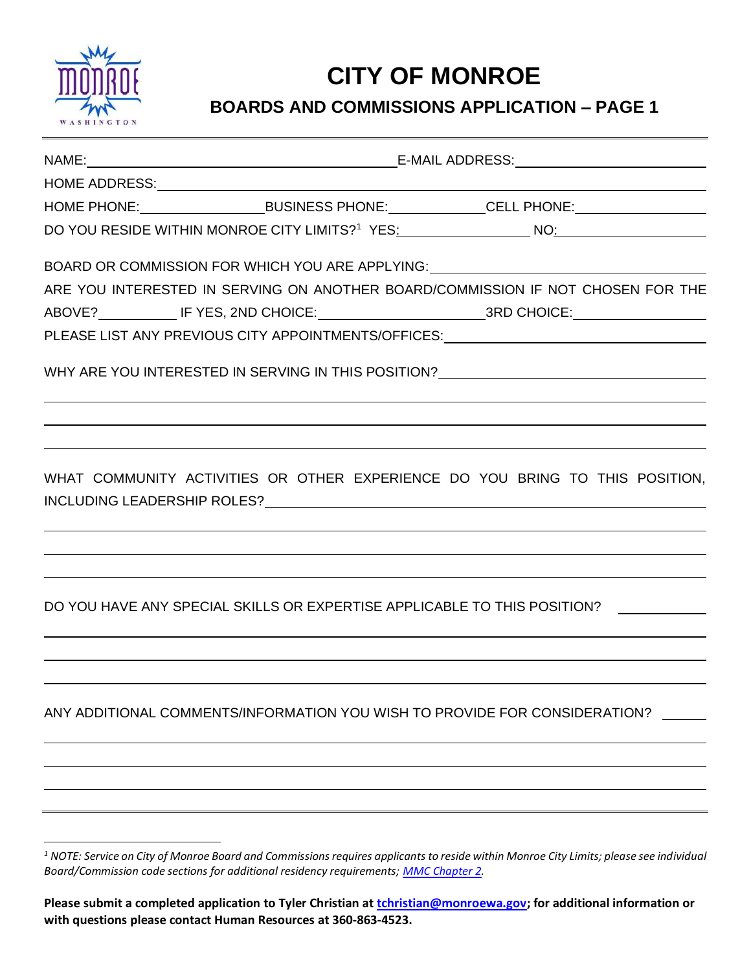

## **CITY OF MONROE**

## **BOARDS AND COMMISSIONS APPLICATION – PAGE 1**

|  | HOME PHONE: __________________________BUSINESS PHONE: _______________CELL PHONE: ___________________                                                                                                                           |
|--|--------------------------------------------------------------------------------------------------------------------------------------------------------------------------------------------------------------------------------|
|  |                                                                                                                                                                                                                                |
|  | BOARD OR COMMISSION FOR WHICH YOU ARE APPLYING: University Account Account Account Account Account Account Account Account Account Account Account Account Account Account Account Account Account Account Account Account Acc |
|  | ARE YOU INTERESTED IN SERVING ON ANOTHER BOARD/COMMISSION IF NOT CHOSEN FOR THE                                                                                                                                                |
|  | ABOVE? _____________ IF YES, 2ND CHOICE: ____________________________3RD CHOICE: ___________________                                                                                                                           |
|  |                                                                                                                                                                                                                                |
|  | WHY ARE YOU INTERESTED IN SERVING IN THIS POSITION? ____________________________                                                                                                                                               |
|  |                                                                                                                                                                                                                                |
|  | WHAT COMMUNITY ACTIVITIES OR OTHER EXPERIENCE DO YOU BRING TO THIS POSITION,                                                                                                                                                   |
|  | DO YOU HAVE ANY SPECIAL SKILLS OR EXPERTISE APPLICABLE TO THIS POSITION?                                                                                                                                                       |
|  |                                                                                                                                                                                                                                |
|  | ANY ADDITIONAL COMMENTS/INFORMATION YOU WISH TO PROVIDE FOR CONSIDERATION?                                                                                                                                                     |
|  |                                                                                                                                                                                                                                |
|  |                                                                                                                                                                                                                                |
|  |                                                                                                                                                                                                                                |

*<sup>1</sup> NOTE: Service on City of Monroe Board and Commissions requires applicants to reside within Monroe City Limits; please see individual Board/Commission code sections for additional residency requirements; [MMC Chapter 2.](https://www.codepublishing.com/WA/Monroe/html/Monroe02/Monroe02.html)*

**Please submit a completed application to Tyler Christian at [tchristian@monroewa.gov;](mailto:tchristian@monroewa.gov) for additional information or with questions please contact Human Resources at 360-863-4523.**